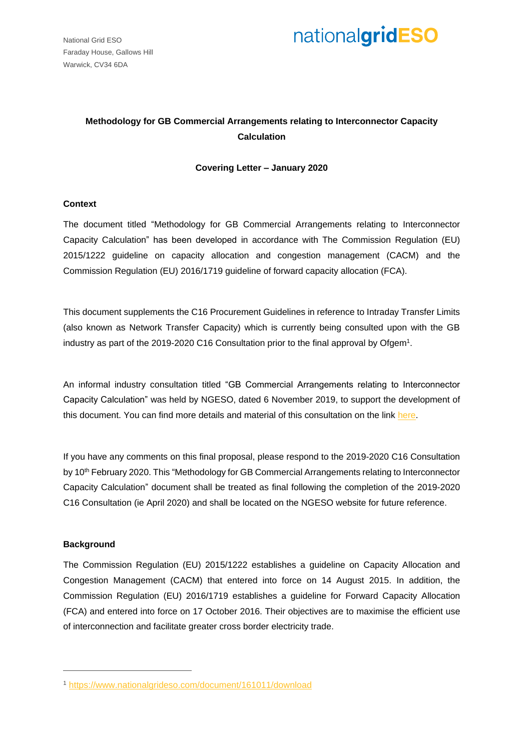National Grid ESO Faraday House, Gallows Hill Warwick, CV34 6DA



### **Methodology for GB Commercial Arrangements relating to Interconnector Capacity Calculation**

### **Covering Letter – January 2020**

### **Context**

The document titled "Methodology for GB Commercial Arrangements relating to Interconnector Capacity Calculation" has been developed in accordance with The Commission Regulation (EU) 2015/1222 guideline on capacity allocation and congestion management (CACM) and the Commission Regulation (EU) 2016/1719 guideline of forward capacity allocation (FCA).

This document supplements the C16 Procurement Guidelines in reference to Intraday Transfer Limits (also known as Network Transfer Capacity) which is currently being consulted upon with the GB industry as part of the 2019-2020 C16 Consultation prior to the final approval by Ofgem<sup>1</sup>.

An informal industry consultation titled "GB Commercial Arrangements relating to Interconnector Capacity Calculation" was held by NGESO, dated 6 November 2019, to support the development of this document. You can find more details and material of this consultation on the link [here.](https://www.nationalgrideso.com/codes/european-network-codes?code-documents)

If you have any comments on this final proposal, please respond to the 2019-2020 C16 Consultation by 10<sup>th</sup> February 2020. This "Methodology for GB Commercial Arrangements relating to Interconnector Capacity Calculation" document shall be treated as final following the completion of the 2019-2020 C16 Consultation (ie April 2020) and shall be located on the NGESO website for future reference.

### **Background**

 $\overline{a}$ 

The Commission Regulation (EU) 2015/1222 establishes a guideline on Capacity Allocation and Congestion Management (CACM) that entered into force on 14 August 2015. In addition, the Commission Regulation (EU) 2016/1719 establishes a guideline for Forward Capacity Allocation (FCA) and entered into force on 17 October 2016. Their objectives are to maximise the efficient use of interconnection and facilitate greater cross border electricity trade.

<sup>1</sup> <https://www.nationalgrideso.com/document/161011/download>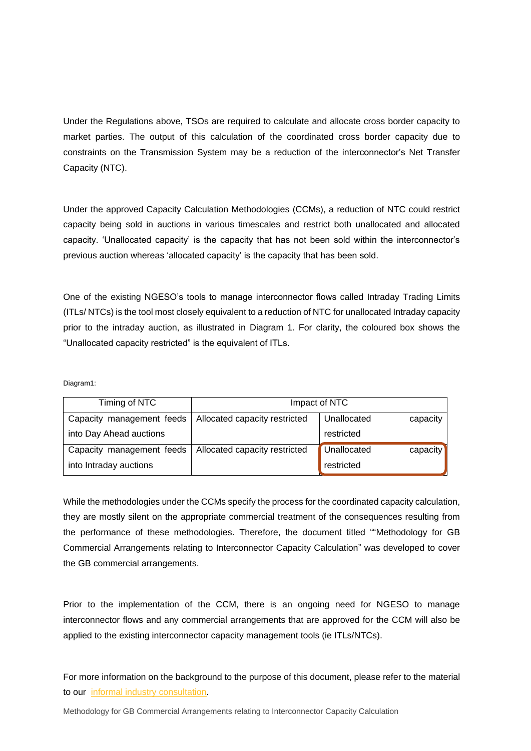Under the Regulations above, TSOs are required to calculate and allocate cross border capacity to market parties. The output of this calculation of the coordinated cross border capacity due to constraints on the Transmission System may be a reduction of the interconnector's Net Transfer Capacity (NTC).

Under the approved Capacity Calculation Methodologies (CCMs), a reduction of NTC could restrict capacity being sold in auctions in various timescales and restrict both unallocated and allocated capacity. 'Unallocated capacity' is the capacity that has not been sold within the interconnector's previous auction whereas 'allocated capacity' is the capacity that has been sold.

One of the existing NGESO's tools to manage interconnector flows called Intraday Trading Limits (ITLs/ NTCs) is the tool most closely equivalent to a reduction of NTC for unallocated Intraday capacity prior to the intraday auction, as illustrated in Diagram 1. For clarity, the coloured box shows the "Unallocated capacity restricted" is the equivalent of ITLs.

Diagram1:

| Timing of NTC             | Impact of NTC                 |                                |
|---------------------------|-------------------------------|--------------------------------|
| Capacity management feeds | Allocated capacity restricted | Unallocated<br>capacity        |
| into Day Ahead auctions   |                               | restricted                     |
| Capacity management feeds | Allocated capacity restricted | <b>Unallocated</b><br>capacity |
| into Intraday auctions    |                               | restricted                     |

While the methodologies under the CCMs specify the process for the coordinated capacity calculation, they are mostly silent on the appropriate commercial treatment of the consequences resulting from the performance of these methodologies. Therefore, the document titled ""Methodology for GB Commercial Arrangements relating to Interconnector Capacity Calculation" was developed to cover the GB commercial arrangements.

Prior to the implementation of the CCM, there is an ongoing need for NGESO to manage interconnector flows and any commercial arrangements that are approved for the CCM will also be applied to the existing interconnector capacity management tools (ie ITLs/NTCs).

For more information on the background to the purpose of this document, please refer to the material to our informal [industry consultation.](https://www.nationalgrideso.com/codes/european-network-codes?code-documents)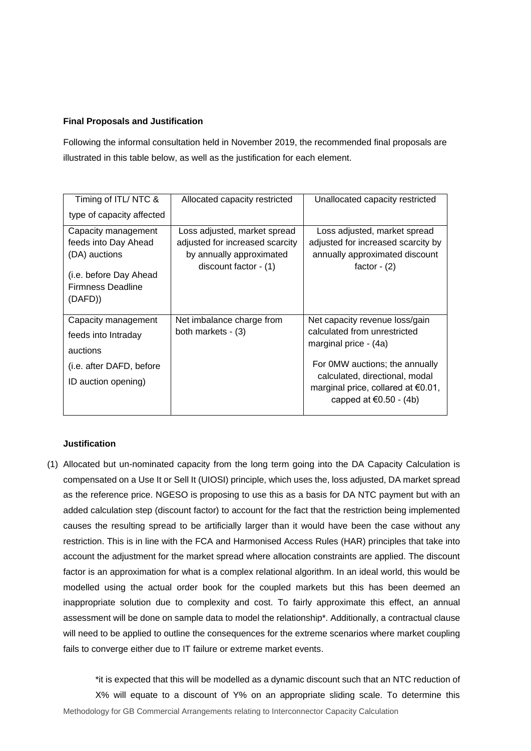### **Final Proposals and Justification**

Following the informal consultation held in November 2019, the recommended final proposals are illustrated in this table below, as well as the justification for each element.

| Timing of ITL/NTC &       | Allocated capacity restricted                       | Unallocated capacity restricted                                                                            |
|---------------------------|-----------------------------------------------------|------------------------------------------------------------------------------------------------------------|
| type of capacity affected |                                                     |                                                                                                            |
| Capacity management       | Loss adjusted, market spread                        | Loss adjusted, market spread                                                                               |
| feeds into Day Ahead      | adjusted for increased scarcity                     | adjusted for increased scarcity by                                                                         |
| (DA) auctions             | by annually approximated<br>discount factor $-$ (1) | annually approximated discount<br>factor $-$ (2)                                                           |
| (i.e. before Day Ahead    |                                                     |                                                                                                            |
| <b>Firmness Deadline</b>  |                                                     |                                                                                                            |
| (DAFD))                   |                                                     |                                                                                                            |
|                           |                                                     |                                                                                                            |
| Capacity management       | Net imbalance charge from                           | Net capacity revenue loss/gain                                                                             |
| feeds into Intraday       | both markets - (3)                                  | calculated from unrestricted                                                                               |
| auctions                  |                                                     | marginal price - (4a)                                                                                      |
| (i.e. after DAFD, before  |                                                     | For 0MW auctions; the annually                                                                             |
| ID auction opening)       |                                                     | calculated, directional, modal<br>marginal price, collared at $\epsilon$ 0.01,<br>capped at €0.50 - $(4b)$ |

### **Justification**

(1) Allocated but un-nominated capacity from the long term going into the DA Capacity Calculation is compensated on a Use It or Sell It (UIOSI) principle, which uses the, loss adjusted, DA market spread as the reference price. NGESO is proposing to use this as a basis for DA NTC payment but with an added calculation step (discount factor) to account for the fact that the restriction being implemented causes the resulting spread to be artificially larger than it would have been the case without any restriction. This is in line with the FCA and Harmonised Access Rules (HAR) principles that take into account the adjustment for the market spread where allocation constraints are applied. The discount factor is an approximation for what is a complex relational algorithm. In an ideal world, this would be modelled using the actual order book for the coupled markets but this has been deemed an inappropriate solution due to complexity and cost. To fairly approximate this effect, an annual assessment will be done on sample data to model the relationship\*. Additionally, a contractual clause will need to be applied to outline the consequences for the extreme scenarios where market coupling fails to converge either due to IT failure or extreme market events.

Methodology for GB Commercial Arrangements relating to Interconnector Capacity Calculation \*it is expected that this will be modelled as a dynamic discount such that an NTC reduction of X% will equate to a discount of Y% on an appropriate sliding scale. To determine this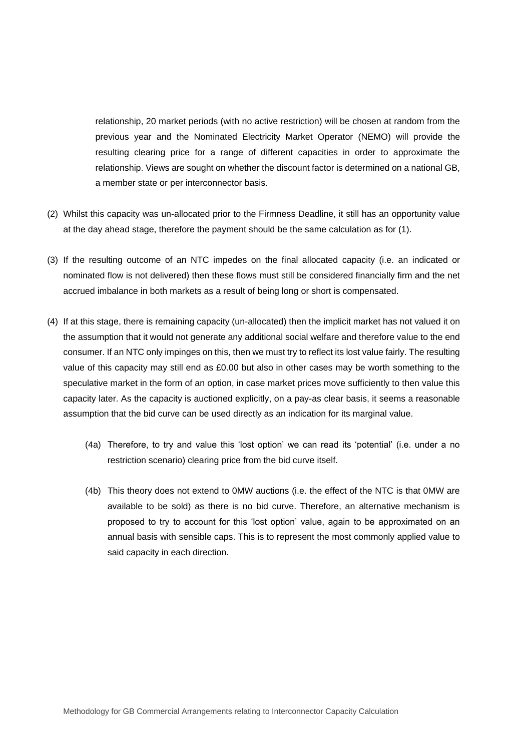relationship, 20 market periods (with no active restriction) will be chosen at random from the previous year and the Nominated Electricity Market Operator (NEMO) will provide the resulting clearing price for a range of different capacities in order to approximate the relationship. Views are sought on whether the discount factor is determined on a national GB, a member state or per interconnector basis.

- (2) Whilst this capacity was un-allocated prior to the Firmness Deadline, it still has an opportunity value at the day ahead stage, therefore the payment should be the same calculation as for (1).
- (3) If the resulting outcome of an NTC impedes on the final allocated capacity (i.e. an indicated or nominated flow is not delivered) then these flows must still be considered financially firm and the net accrued imbalance in both markets as a result of being long or short is compensated.
- (4) If at this stage, there is remaining capacity (un-allocated) then the implicit market has not valued it on the assumption that it would not generate any additional social welfare and therefore value to the end consumer. If an NTC only impinges on this, then we must try to reflect its lost value fairly. The resulting value of this capacity may still end as £0.00 but also in other cases may be worth something to the speculative market in the form of an option, in case market prices move sufficiently to then value this capacity later. As the capacity is auctioned explicitly, on a pay-as clear basis, it seems a reasonable assumption that the bid curve can be used directly as an indication for its marginal value.
	- (4a) Therefore, to try and value this 'lost option' we can read its 'potential' (i.e. under a no restriction scenario) clearing price from the bid curve itself.
	- (4b) This theory does not extend to 0MW auctions (i.e. the effect of the NTC is that 0MW are available to be sold) as there is no bid curve. Therefore, an alternative mechanism is proposed to try to account for this 'lost option' value, again to be approximated on an annual basis with sensible caps. This is to represent the most commonly applied value to said capacity in each direction.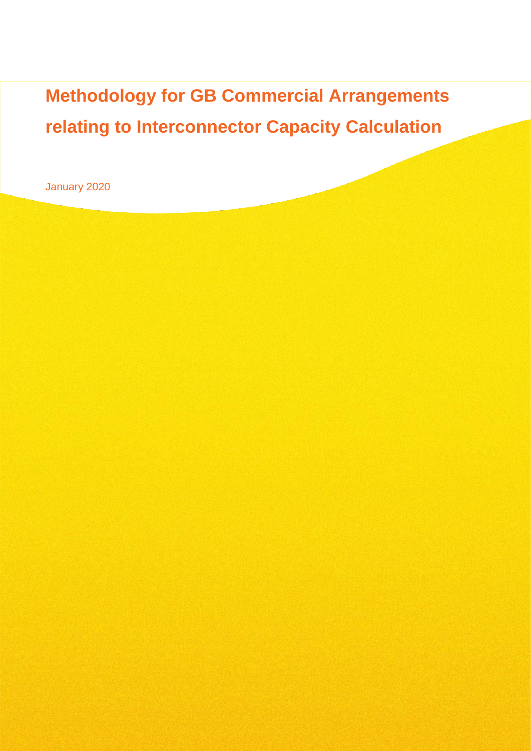**Methodology for GB Commercial Arrangements relating to Interconnector Capacity Calculation** 

January 2020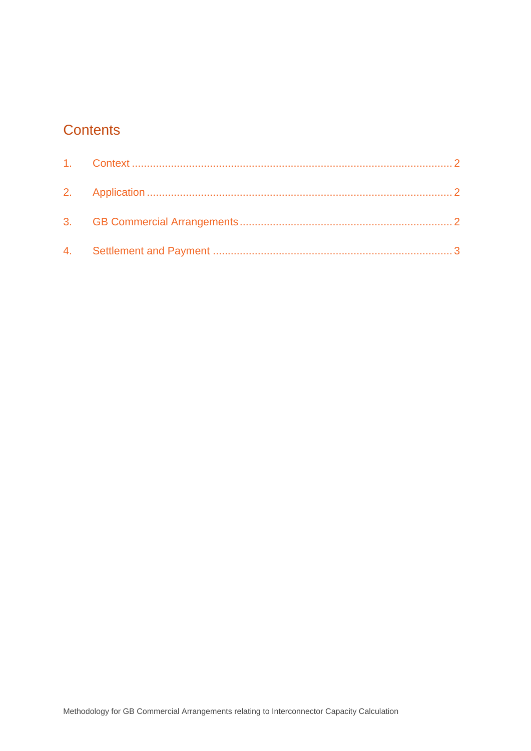# **Contents**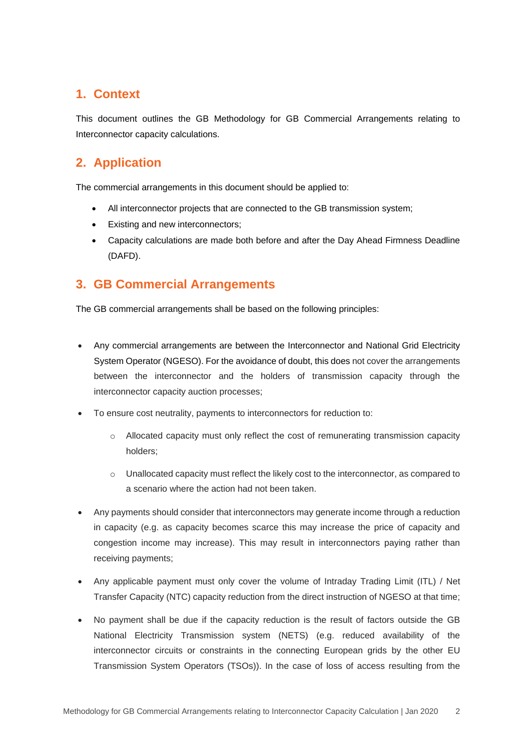# <span id="page-6-0"></span>**1. Context**

This document outlines the GB Methodology for GB Commercial Arrangements relating to Interconnector capacity calculations.

# <span id="page-6-1"></span>**2. Application**

The commercial arrangements in this document should be applied to:

- All interconnector projects that are connected to the GB transmission system;
- Existing and new interconnectors;
- Capacity calculations are made both before and after the Day Ahead Firmness Deadline (DAFD).

# <span id="page-6-2"></span>**3. GB Commercial Arrangements**

The GB commercial arrangements shall be based on the following principles:

- Any commercial arrangements are between the Interconnector and National Grid Electricity System Operator (NGESO). For the avoidance of doubt, this does not cover the arrangements between the interconnector and the holders of transmission capacity through the interconnector capacity auction processes;
- To ensure cost neutrality, payments to interconnectors for reduction to:
	- $\circ$  Allocated capacity must only reflect the cost of remunerating transmission capacity holders;
	- o Unallocated capacity must reflect the likely cost to the interconnector, as compared to a scenario where the action had not been taken.
- Any payments should consider that interconnectors may generate income through a reduction in capacity (e.g. as capacity becomes scarce this may increase the price of capacity and congestion income may increase). This may result in interconnectors paying rather than receiving payments;
- Any applicable payment must only cover the volume of Intraday Trading Limit (ITL) / Net Transfer Capacity (NTC) capacity reduction from the direct instruction of NGESO at that time;
- No payment shall be due if the capacity reduction is the result of factors outside the GB National Electricity Transmission system (NETS) (e.g. reduced availability of the interconnector circuits or constraints in the connecting European grids by the other EU Transmission System Operators (TSOs)). In the case of loss of access resulting from the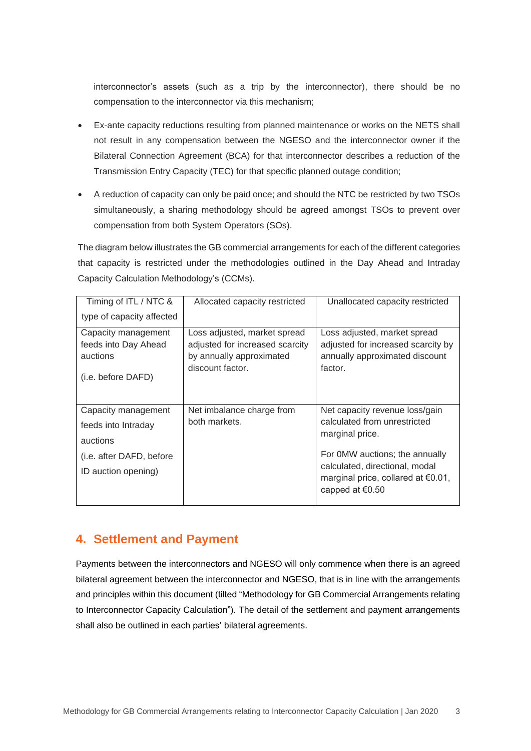interconnector's assets (such as a trip by the interconnector), there should be no compensation to the interconnector via this mechanism;

- Ex-ante capacity reductions resulting from planned maintenance or works on the NETS shall not result in any compensation between the NGESO and the interconnector owner if the Bilateral Connection Agreement (BCA) for that interconnector describes a reduction of the Transmission Entry Capacity (TEC) for that specific planned outage condition;
- A reduction of capacity can only be paid once; and should the NTC be restricted by two TSOs simultaneously, a sharing methodology should be agreed amongst TSOs to prevent over compensation from both System Operators (SOs).

The diagram below illustrates the GB commercial arrangements for each of the different categories that capacity is restricted under the methodologies outlined in the Day Ahead and Intraday Capacity Calculation Methodology's (CCMs).

| Timing of ITL / NTC &                                                         | Allocated capacity restricted                                                                                   | Unallocated capacity restricted                                                                                 |
|-------------------------------------------------------------------------------|-----------------------------------------------------------------------------------------------------------------|-----------------------------------------------------------------------------------------------------------------|
| type of capacity affected                                                     |                                                                                                                 |                                                                                                                 |
| Capacity management<br>feeds into Day Ahead<br>auctions<br>(i.e. before DAFD) | Loss adjusted, market spread<br>adjusted for increased scarcity<br>by annually approximated<br>discount factor. | Loss adjusted, market spread<br>adjusted for increased scarcity by<br>annually approximated discount<br>factor. |
| Capacity management                                                           | Net imbalance charge from                                                                                       | Net capacity revenue loss/gain                                                                                  |
| feeds into Intraday                                                           | both markets.                                                                                                   | calculated from unrestricted<br>marginal price.                                                                 |
| auctions                                                                      |                                                                                                                 |                                                                                                                 |
| (i.e. after DAFD, before                                                      |                                                                                                                 | For 0MW auctions; the annually                                                                                  |
| ID auction opening)                                                           |                                                                                                                 | calculated, directional, modal<br>marginal price, collared at $\epsilon$ 0.01,<br>capped at $\epsilon$ 0.50     |

## <span id="page-7-0"></span>**4. Settlement and Payment**

Payments between the interconnectors and NGESO will only commence when there is an agreed bilateral agreement between the interconnector and NGESO, that is in line with the arrangements and principles within this document (tilted "Methodology for GB Commercial Arrangements relating to Interconnector Capacity Calculation"). The detail of the settlement and payment arrangements shall also be outlined in each parties' bilateral agreements.